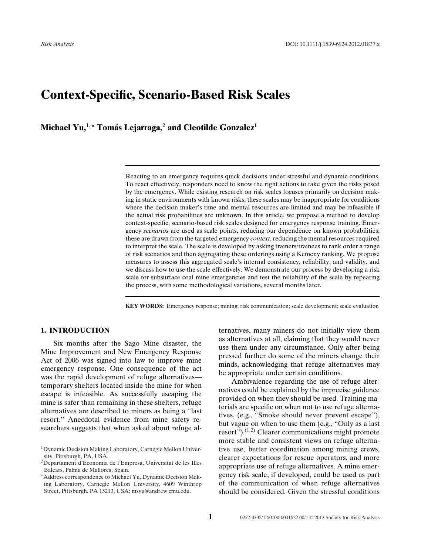# **Context-Specific, Scenario-Based Risk Scales**

**Michael Yu,<sup>1</sup>***,***<sup>∗</sup> Tomas Lejarraga, ´ <sup>2</sup> and Cleotilde Gonzalez<sup>1</sup>**

Reacting to an emergency requires quick decisions under stressful and dynamic conditions. To react effectively, responders need to know the right actions to take given the risks posed by the emergency. While existing research on risk scales focuses primarily on decision making in static environments with known risks, these scales may be inappropriate for conditions where the decision maker's time and mental resources are limited and may be infeasible if the actual risk probabilities are unknown. In this article, we propose a method to develop context-specific, scenario-based risk scales designed for emergency response training. Emergency *scenarios* are used as scale points, reducing our dependence on known probabilities; these are drawn from the targeted emergency *context*, reducing the mental resources required to interpret the scale. The scale is developed by asking trainers/trainees to rank order a range of risk scenarios and then aggregating these orderings using a Kemeny ranking. We propose measures to assess this aggregated scale's internal consistency, reliability, and validity, and we discuss how to use the scale effectively. We demonstrate our process by developing a risk scale for subsurface coal mine emergencies and test the reliability of the scale by repeating the process, with some methodological variations, several months later.

**KEY WORDS:** Emergency response; mining; risk communication; scale development; scale evaluation

# **1. INTRODUCTION**

Six months after the Sago Mine disaster, the Mine Improvement and New Emergency Response Act of 2006 was signed into law to improve mine emergency response. One consequence of the act was the rapid development of refuge alternatives temporary shelters located inside the mine for when escape is infeasible. As successfully escaping the mine is safer than remaining in these shelters, refuge alternatives are described to miners as being a "last resort." Anecdotal evidence from mine safety researchers suggests that when asked about refuge alternatives, many miners do not initially view them as alternatives at all, claiming that they would never use them under any circumstance. Only after being pressed further do some of the miners change their minds, acknowledging that refuge alternatives may be appropriate under certain conditions.

Ambivalence regarding the use of refuge alternatives could be explained by the imprecise guidance provided on when they should be used. Training materials are specific on when not to use refuge alternatives, (e.g., "Smoke should never prevent escape"), but vague on when to use them (e.g., "Only as a last resort"). $(1,2)$  Clearer communications might promote more stable and consistent views on refuge alternative use, better coordination among mining crews, clearer expectations for rescue operators, and more appropriate use of refuge alternatives. A mine emergency risk scale, if developed, could be used as part of the communication of when refuge alternatives should be considered. Given the stressful conditions

<sup>&</sup>lt;sup>1</sup>Dynamic Decision Making Laboratory, Carnegie Mellon University, Pittsburgh, PA, USA.

<sup>2</sup>Departament d'Economia de l'Empresa, Universitat de les Illes Balears, Palma de Mallorca, Spain.

<sup>∗</sup>Address correspondence to Michael Yu, Dynamic Decision Making Laboratory, Carnegie Mellon University, 4609 Winthrop Street, Pittsburgh, PA 15213, USA; msyu@andrew.cmu.edu.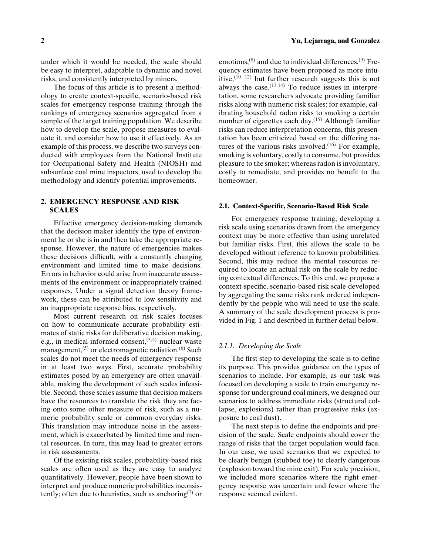under which it would be needed, the scale should be easy to interpret, adaptable to dynamic and novel risks, and consistently interpreted by miners.

The focus of this article is to present a methodology to create context-specific, scenario-based risk scales for emergency response training through the rankings of emergency scenarios aggregated from a sample of the target training population. We describe how to develop the scale, propose measures to evaluate it, and consider how to use it effectively. As an example of this process, we describe two surveys conducted with employees from the National Institute for Occupational Safety and Health (NIOSH) and subsurface coal mine inspectors, used to develop the methodology and identify potential improvements.

# **2. EMERGENCY RESPONSE AND RISK SCALES**

Effective emergency decision-making demands that the decision maker identify the type of environment he or she is in and then take the appropriate response. However, the nature of emergencies makes these decisions difficult, with a constantly changing environment and limited time to make decisions. Errors in behavior could arise from inaccurate assessments of the environment or inappropriately trained responses. Under a signal detection theory framework, these can be attributed to low sensitivity and an inappropriate response bias, respectively.

Most current research on risk scales focuses on how to communicate accurate probability estimates of static risks for deliberative decision making, e.g., in medical informed consent,  $(3,4)$  nuclear waste management,<sup> $(5)$ </sup> or electromagnetic radiation.<sup> $(6)$ </sup> Such scales do not meet the needs of emergency response in at least two ways. First, accurate probability estimates posed by an emergency are often unavailable, making the development of such scales infeasible. Second, these scales assume that decision makers have the resources to translate the risk they are facing onto some other measure of risk, such as a numeric probability scale or common everyday risks. This translation may introduce noise in the assessment, which is exacerbated by limited time and mental resources. In turn, this may lead to greater errors in risk assessments.

Of the existing risk scales, probability-based risk scales are often used as they are easy to analyze quantitatively. However, people have been shown to interpret and produce numeric probabilities inconsistently; often due to heuristics, such as anchoring<sup>(7)</sup> or emotions,  $^{(8)}$  and due to individual differences.  $^{(9)}$  Frequency estimates have been proposed as more intuitive, $(10-12)$  but further research suggests this is not always the case. $(13,14)$  To reduce issues in interpretation, some researchers advocate providing familiar risks along with numeric risk scales; for example, calibrating household radon risks to smoking a certain number of cigarettes each day. $(15)$  Although familiar risks can reduce interpretation concerns, this presentation has been criticized based on the differing natures of the various risks involved.<sup> $(16)$ </sup> For example, smoking is voluntary, costly to consume, but provides pleasure to the smoker; whereas radon is involuntary, costly to remediate, and provides no benefit to the homeowner.

## **2.1. Context-Specific, Scenario-Based Risk Scale**

For emergency response training, developing a risk scale using scenarios drawn from the emergency context may be more effective than using unrelated but familiar risks. First, this allows the scale to be developed without reference to known probabilities. Second, this may reduce the mental resources required to locate an actual risk on the scale by reducing contextual differences. To this end, we propose a context-specific, scenario-based risk scale developed by aggregating the same risks rank ordered independently by the people who will need to use the scale. A summary of the scale development process is provided in Fig. 1 and described in further detail below.

## *2.1.1. Developing the Scale*

The first step to developing the scale is to define its purpose. This provides guidance on the types of scenarios to include. For example, as our task was focused on developing a scale to train emergency response for underground coal miners, we designed our scenarios to address immediate risks (structural collapse, explosions) rather than progressive risks (exposure to coal dust).

The next step is to define the endpoints and precision of the scale. Scale endpoints should cover the range of risks that the target population would face. In our case, we used scenarios that we expected to be clearly benign (stubbed toe) to clearly dangerous (explosion toward the mine exit). For scale precision, we included more scenarios where the right emergency response was uncertain and fewer where the response seemed evident.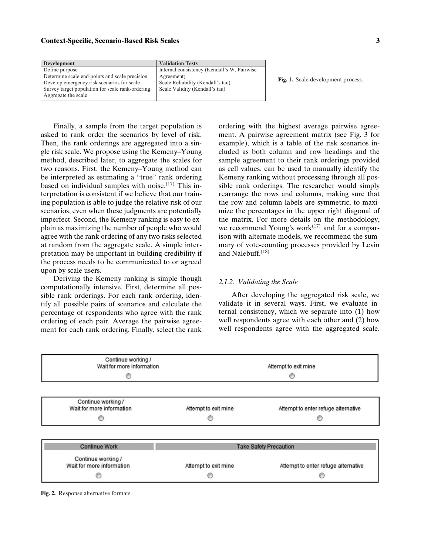#### **Context-Specific, Scenario-Based Risk Scales 3**

| <b>Development</b>                               | <b>Validation Tests</b>                     |
|--------------------------------------------------|---------------------------------------------|
| Define purpose                                   | Internal consistency (Kendall's W, Pairwise |
| Determine scale end-points and scale precision   | Agreement)                                  |
| Develop emergency risk scenarios for scale       | Scale Reliability (Kendall's tau)           |
| Survey target population for scale rank-ordering | Scale Validity (Kendall's tau)              |
| Aggregate the scale                              |                                             |

Finally, a sample from the target population is asked to rank order the scenarios by level of risk. Then, the rank orderings are aggregated into a single risk scale. We propose using the Kemeny–Young method, described later, to aggregate the scales for two reasons. First, the Kemeny–Young method can be interpreted as estimating a "true" rank ordering based on individual samples with noise.<sup>(17)</sup> This interpretation is consistent if we believe that our training population is able to judge the relative risk of our scenarios, even when these judgments are potentially imperfect. Second, the Kemeny ranking is easy to explain as maximizing the number of people who would agree with the rank ordering of any two risks selected at random from the aggregate scale. A simple interpretation may be important in building credibility if the process needs to be communicated to or agreed upon by scale users.

Deriving the Kemeny ranking is simple though computationally intensive. First, determine all possible rank orderings. For each rank ordering, identify all possible pairs of scenarios and calculate the percentage of respondents who agree with the rank ordering of each pair. Average the pairwise agreement for each rank ordering. Finally, select the rank ordering with the highest average pairwise agreement. A pairwise agreement matrix (see Fig. 3 for example), which is a table of the risk scenarios included as both column and row headings and the sample agreement to their rank orderings provided as cell values, can be used to manually identify the Kemeny ranking without processing through all possible rank orderings. The researcher would simply rearrange the rows and columns, making sure that the row and column labels are symmetric, to maximize the percentages in the upper right diagonal of the matrix. For more details on the methodology, we recommend Young's work $^{(17)}$  and for a comparison with alternate models, we recommend the summary of vote-counting processes provided by Levin and Nalebuff.(18)

# *2.1.2. Validating the Scale*

After developing the aggregated risk scale, we validate it in several ways. First, we evaluate internal consistency, which we separate into (1) how well respondents agree with each other and (2) how well respondents agree with the aggregated scale.

| Continue working /<br>Wait for more information |                      | Attempt to exit mine                |  |  |  |  |  |  |  |
|-------------------------------------------------|----------------------|-------------------------------------|--|--|--|--|--|--|--|
| Continue working /<br>Wait for more information | Attempt to exit mine | Attempt to enter refuge alternative |  |  |  |  |  |  |  |
|                                                 |                      |                                     |  |  |  |  |  |  |  |
| <b>Continue Work</b>                            |                      | <b>Take Safety Precaution</b>       |  |  |  |  |  |  |  |
| Continue working /<br>Wait for more information | Attempt to exit mine | Attempt to enter refuge alternative |  |  |  |  |  |  |  |
|                                                 |                      |                                     |  |  |  |  |  |  |  |

**Fig. 2.** Response alternative formats.

**Fig. 1.** Scale development process.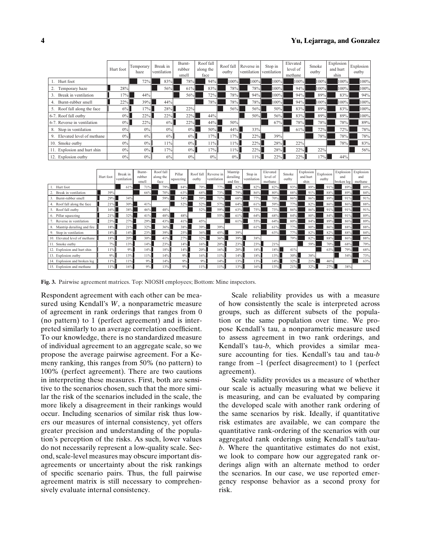| Yu, Lejarraga, and Gonzalez |
|-----------------------------|
|                             |

|                                      |           | Hurt foot               | Temporary<br>haze | Break in<br>ventilation                      | Burnt-<br>rubber<br>smell | Roof fall<br>along the<br>face |                           | Roof fall<br>outby    | Reverse in<br>ventilation | Stop in<br>ventilation | Elevated<br>level of<br>methane |                  | Smoke<br>outby     | Explosion<br>and hurt<br>shin | Explosion<br>outby |
|--------------------------------------|-----------|-------------------------|-------------------|----------------------------------------------|---------------------------|--------------------------------|---------------------------|-----------------------|---------------------------|------------------------|---------------------------------|------------------|--------------------|-------------------------------|--------------------|
| 1. Hurt foot                         |           |                         | 72%               | 83%                                          | 78%                       |                                | 94%                       | 100%                  | 100%                      | 100%                   |                                 | 100%             | 100%               | 100%                          | 100%               |
| Temporary haze<br>2.                 |           | 28%                     |                   | 56%                                          | 61%                       |                                | 83%                       | 78%                   | 78%                       | 100%                   |                                 | 94%              | 100%               | 100%                          | 100%               |
| Break in ventilation<br>3.           |           | 17%                     | 44%               |                                              | 56%                       |                                | 72%                       | 78%                   | 94%                       | 100%                   |                                 | 94%              | 89%                | 83%                           | 94%                |
| 4. Burnt-rubber smell                |           | 22%                     | 39%               | 44%                                          |                           |                                | 78%                       | 78%                   | 78%                       | 100%                   |                                 | 94%              | 100%               | 100%                          | 00%                |
| 5. Roof fall along the face          |           | 6%                      | 17%               | 28%                                          | 22%                       |                                |                           | 56%                   | 56%                       | 50%                    |                                 | 83%              | 89%                | 83%                           | 100%               |
| 6-7. Roof fall outby                 |           | $0\%$                   | 22%               | 22%                                          | 22%                       |                                | 44%                       |                       | 50%                       | 56%                    |                                 | 83%              | 89%                | 89%                           | 100%               |
| 6-7. Reverse in ventilation          |           | $0\%$                   | 22%               | 6%                                           | 22%                       |                                | 44%                       | 50%                   |                           | 67%                    |                                 | 78%              | 78%                | 78%                           | 89%                |
| 8. Stop in ventilation               |           | 0%                      | 0%                | 0%                                           | 0%                        |                                | 50%                       | 44%                   | 33%                       |                        |                                 | 61%              | 72%                | 72%                           | 78%                |
| Elevated level of methane<br>9.      |           | $0\%$                   | 6%                | 6%                                           |                           | $6\%$                          | 17%                       | 17%                   | 22%                       | 39%                    |                                 |                  | 78%                | 78%                           | 78%                |
| 10. Smoke outby                      |           | 0%                      | 0%                | 11%                                          | $0\%$                     |                                | 11%                       | 11%                   | 22%                       | 28%                    |                                 | 22%              |                    | 78%                           | 83%                |
| 11. Explosion and hurt shin          |           | 0%                      | $0\%$             | 17%                                          |                           | $0\%$                          | 17%                       | $11\%$                | 22%                       | 28%                    |                                 | 22%              | 22%                |                               | 56%                |
| 12. Explosion outby                  |           | 0%                      | $0\%$             | $0\%$<br>0%<br>0%<br>22%<br>22%<br>6%<br>11% |                           |                                | 17%                       | 44%                   |                           |                        |                                 |                  |                    |                               |                    |
|                                      |           |                         |                   |                                              |                           |                                |                           |                       |                           |                        |                                 |                  |                    |                               |                    |
|                                      |           |                         | Burnt-            | Roof fall                                    |                           |                                |                           | Mantrip               |                           | Elevated               |                                 | Explosion        |                    | Explosion                     | Explosion          |
|                                      | Hurt foot | Break in<br>ventilation | rubber<br>smell   | along the<br>face                            | Pillar<br>squeezing       | Roof fall<br>outby             | Reverse in<br>ventilation | derailing<br>and fire | Stop in<br>ventilation    | level of<br>methane    | Smoke<br>outby                  | and hurt<br>shin | Explosion<br>outby | and<br>broken leg             | and<br>methane     |
| Hurt foot                            |           | 61%                     | 71%               | 79%                                          | 84%                       | 79%                            | 77%                       | 82%                   | 82%                       | 82%                    | 93%                             | 89%              |                    | 91%<br>89%                    | 89%                |
| Break in ventilation                 | 39%       |                         | 66%               | 70%                                          | 63%                       | 68%                            | 73%                       | 79%                   | 86%                       | 80%                    | 88%                             | 91%              |                    | 89%<br>88%                    | 84%                |
| Burnt-rubber smell<br>$\overline{3}$ | 29%       | 34%                     |                   | 59%                                          | 54%                       | 59%                            | 71%                       | 68%                   | 77%                       | 70%                    | 86%                             | 86%              |                    | 89%<br>91%                    | 91%                |
| Roof fall along the face<br>4.       | 21%       | 30%                     | 41%               |                                              | 52%                       | 52%                            | 57%                       | 64%                   | 61%                       | 59%                    | 77%                             | 82%              |                    | 86%<br>86%                    | 88%                |
| Roof fall outby<br>5.                | 16%       | 38%                     | 46%               | 48%                                          |                           | 52%                            | 59%                       | 63%                   | 75%                       | 73%                    | 86%                             | 86%              |                    | 91%<br>91%                    | 91%                |
| Pillar squeezing<br>6.               | 21%       | 32%                     | 41%               | 48%                                          | 48%                       |                                | 55%                       | 61%                   | 64%                       | 68%                    | 84%                             | 80%              |                    | 84%<br>91%                    | 89%                |
| Reverse in ventilation<br>7.         | 23%       | 27%                     | 29%               | 43%                                          | 41%                       | 45%                            |                           | 61%                   | 55%                       | 64%                    | 80%                             | 84%              |                    | 89%<br>86%                    | 89%                |
| Mantrip derailing and fire<br>8.     | 18%       | 21%                     | 32%               | 36%                                          | 38%                       | 39%                            | 39%                       |                       | 61%                       | 61%                    | 77%                             | 80%              |                    | 86%<br>88%                    | 88%                |
| 9. Stop in ventilation               | 18%       | 14%                     | 23%               | 39%                                          | 25%                       | 36%                            | 45%                       | 39%                   |                           | 63%                    | 77%                             | 82%              |                    | 82%<br>88%                    | 84%                |
| 10. Elevated level of methane        | 18%       | 20%                     | 30%               | 41%                                          | 27%                       | 32%                            | 36%                       | 39%                   | 38%                       |                        | 79%                             | 82%              |                    | 88%<br>86%                    | 88%                |
| 11. Smoke outby                      |           | 7%<br>13%               | 14%               | 23%                                          | 14%                       | 16%                            | 20%                       | 23%                   | 23%                       | 21%                    |                                 | 59%              |                    | 70%<br>68%                    | 79%                |

13. Explosion outby **19% 12% 12% 14% 14% 9% 16% 11% 14% 18% 13% 13% 30% 38% 11% 54% 73%** 

15. Explosion and methane 11% 16% 9% 13% 9% 11% 11% 13% 16% 13% 21% 32% 27% 38%

**Fig. 3.** Pairwise agreement matrices. Top: NIOSH employees; Bottom: Mine inspectors.

14. Explosion and broken leg 11% 11% 9% 14% 9% 9% 9% 14% 13% 13% 14% 14%

12. Explosion and hurt shin 11% 9% 14% 18% 14% 20% 16% 20%

Respondent agreement with each other can be measured using Kendall's *W*, a nonparametric measure of agreement in rank orderings that ranges from 0 (no pattern) to 1 (perfect agreement) and is interpreted similarly to an average correlation coefficient. To our knowledge, there is no standardized measure of individual agreement to an aggregate scale, so we propose the average pairwise agreement. For a Kemeny ranking, this ranges from 50% (no pattern) to 100% (perfect agreement). There are two cautions in interpreting these measures. First, both are sensitive to the scenarios chosen, such that the more similar the risk of the scenarios included in the scale, the more likely a disagreement in their rankings would occur. Including scenarios of similar risk thus lowers our measures of internal consistency, yet offers greater precision and understanding of the population's perception of the risks. As such, lower values do not necessarily represent a low-quality scale. Second, scale-level measures may obscure important disagreements or uncertainty about the risk rankings of specific scenario pairs. Thus, the full pairwise agreement matrix is still necessary to comprehensively evaluate internal consistency.

Scale reliability provides us with a measure of how consistently the scale is interpreted across groups, such as different subsets of the population or the same population over time. We propose Kendall's tau, a nonparametric measure used to assess agreement in two rank orderings, and Kendall's tau-*b*, which provides a similar measure accounting for ties. Kendall's tau and tau-*b* range from –1 (perfect disagreement) to 1 (perfect agreement).

Scale validity provides us a measure of whether our scale is actually measuring what we believe it is measuring, and can be evaluated by comparing the developed scale with another rank ordering of the same scenarios by risk. Ideally, if quantitative risk estimates are available, we can compare the quantitative rank-ordering of the scenarios with our aggregated rank orderings using Kendall's tau/tau*b*. Where the quantitative estimates do not exist, we look to compare how our aggregated rank orderings align with an alternate method to order the scenarios. In our case, we use reported emergency response behavior as a second proxy for risk.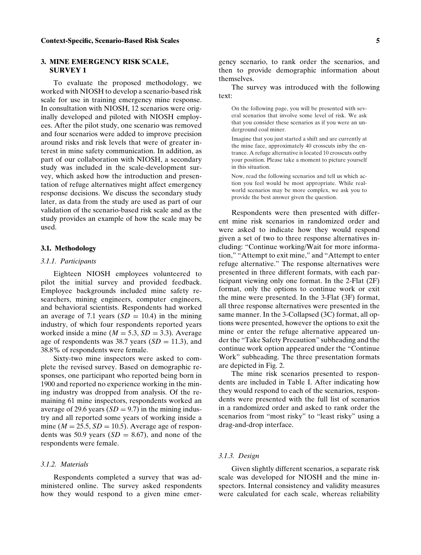# **3. MINE EMERGENCY RISK SCALE, SURVEY 1**

To evaluate the proposed methodology, we worked with NIOSH to develop a scenario-based risk scale for use in training emergency mine response. In consultation with NIOSH, 12 scenarios were originally developed and piloted with NIOSH employees. After the pilot study, one scenario was removed and four scenarios were added to improve precision around risks and risk levels that were of greater interest in mine safety communication. In addition, as part of our collaboration with NIOSH, a secondary study was included in the scale-development survey, which asked how the introduction and presentation of refuge alternatives might affect emergency response decisions. We discuss the secondary study later, as data from the study are used as part of our validation of the scenario-based risk scale and as the study provides an example of how the scale may be used.

## **3.1. Methodology**

## *3.1.1. Participants*

Eighteen NIOSH employees volunteered to pilot the initial survey and provided feedback. Employee backgrounds included mine safety researchers, mining engineers, computer engineers, and behavioral scientists. Respondents had worked an average of 7.1 years  $(SD = 10.4)$  in the mining industry, of which four respondents reported years worked inside a mine  $(M = 5.3, SD = 3.3)$ . Average age of respondents was 38.7 years  $(SD = 11.3)$ , and 38.8% of respondents were female.

Sixty-two mine inspectors were asked to complete the revised survey. Based on demographic responses, one participant who reported being born in 1900 and reported no experience working in the mining industry was dropped from analysis. Of the remaining 61 mine inspectors, respondents worked an average of 29.6 years  $(SD = 9.7)$  in the mining industry and all reported some years of working inside a mine ( $M = 25.5$ ,  $SD = 10.5$ ). Average age of respondents was 50.9 years  $(SD = 8.67)$ , and none of the respondents were female.

## *3.1.2. Materials*

Respondents completed a survey that was administered online. The survey asked respondents how they would respond to a given mine emergency scenario, to rank order the scenarios, and then to provide demographic information about themselves.

The survey was introduced with the following text:

On the following page, you will be presented with several scenarios that involve some level of risk. We ask that you consider these scenarios as if you were an underground coal miner.

Imagine that you just started a shift and are currently at the mine face, approximately 40 crosscuts inby the entrance. A refuge alternative is located 10 crosscuts outby your position. Please take a moment to picture yourself in this situation.

Now, read the following scenarios and tell us which action you feel would be most appropriate. While realworld scenarios may be more complex, we ask you to provide the best answer given the question.

Respondents were then presented with different mine risk scenarios in randomized order and were asked to indicate how they would respond given a set of two to three response alternatives including: "Continue working/Wait for more information," "Attempt to exit mine," and "Attempt to enter refuge alternative." The response alternatives were presented in three different formats, with each participant viewing only one format. In the 2-Flat (2F) format, only the options to continue work or exit the mine were presented. In the 3-Flat (3F) format, all three response alternatives were presented in the same manner. In the 3-Collapsed (3C) format, all options were presented, however the options to exit the mine or enter the refuge alternative appeared under the "Take Safety Precaution" subheading and the continue work option appeared under the "Continue Work" subheading. The three presentation formats are depicted in Fig. 2.

The mine risk scenarios presented to respondents are included in Table I. After indicating how they would respond to each of the scenarios, respondents were presented with the full list of scenarios in a randomized order and asked to rank order the scenarios from "most risky" to "least risky" using a drag-and-drop interface.

# *3.1.3. Design*

Given slightly different scenarios, a separate risk scale was developed for NIOSH and the mine inspectors. Internal consistency and validity measures were calculated for each scale, whereas reliability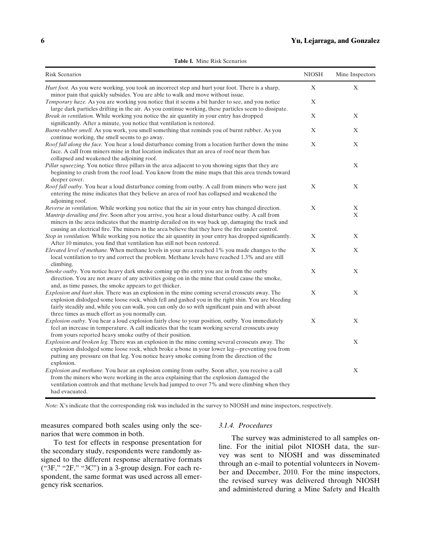| <b>Risk Scenarios</b>                                                                                                                                                                                                                                                                                                                                       | <b>NIOSH</b> | Mine Inspectors |
|-------------------------------------------------------------------------------------------------------------------------------------------------------------------------------------------------------------------------------------------------------------------------------------------------------------------------------------------------------------|--------------|-----------------|
| Hurt foot. As you were working, you took an incorrect step and hurt your foot. There is a sharp,<br>minor pain that quickly subsides. You are able to walk and move without issue.                                                                                                                                                                          | X            | X               |
| Temporary haze. As you are working you notice that it seems a bit harder to see, and you notice<br>large dark particles drifting in the air. As you continue working, these particles seem to dissipate.                                                                                                                                                    | X            |                 |
| Break in ventilation. While working you notice the air quantity in your entry has dropped<br>significantly. After a minute, you notice that ventilation is restored.                                                                                                                                                                                        | X            | X               |
| Burnt-rubber smell. As you work, you smell something that reminds you of burnt rubber. As you<br>continue working, the smell seems to go away.                                                                                                                                                                                                              | X            | X               |
| Roof fall along the face. You hear a loud disturbance coming from a location further down the mine<br>face. A call from miners mine in that location indicates that an area of roof near them has<br>collapsed and weakened the adjoining roof.                                                                                                             | X            | X               |
| Pillar squeezing. You notice three pillars in the area adjacent to you showing signs that they are<br>beginning to crush from the roof load. You know from the mine maps that this area trends toward<br>deeper cover.                                                                                                                                      |              | X               |
| Roof fall outby. You hear a loud disturbance coming from outby. A call from miners who were just<br>entering the mine indicates that they believe an area of roof has collapsed and weakened the<br>adjoining roof.                                                                                                                                         | X            | X               |
| Reverse in ventilation. While working you notice that the air in your entry has changed direction.                                                                                                                                                                                                                                                          | X            | X               |
| Mantrip derailing and fire. Soon after you arrive, you hear a loud disturbance outby. A call from<br>miners in the area indicates that the mantrip derailed on its way back up, damaging the track and<br>causing an electrical fire. The miners in the area believe that they have the fire under control.                                                 |              | X               |
| Stop in ventilation. While working you notice the air quantity in your entry has dropped significantly.<br>After 10 minutes, you find that ventilation has still not been restored.                                                                                                                                                                         | X            | X               |
| Elevated level of methane. When methane levels in your area reached 1% you made changes to the<br>local ventilation to try and correct the problem. Methane levels have reached 1.3% and are still<br>climbing.                                                                                                                                             | X            | X               |
| Smoke outby. You notice heavy dark smoke coming up the entry you are in from the outby<br>direction. You are not aware of any activities going on in the mine that could cause the smoke,<br>and, as time passes, the smoke appears to get thicker.                                                                                                         | X            | X               |
| Explosion and hurt shin. There was an explosion in the mine coming several crosscuts away. The<br>explosion dislodged some loose rock, which fell and gashed you in the right shin. You are bleeding<br>fairly steadily and, while you can walk, you can only do so with significant pain and with about<br>three times as much effort as you normally can. | X            | X               |
| Explosion outby. You hear a loud explosion fairly close to your position, outby. You immediately<br>feel an increase in temperature. A call indicates that the team working several crosscuts away<br>from yours reported heavy smoke outby of their position.                                                                                              | X            | X               |
| Explosion and broken leg. There was an explosion in the mine coming several crosscuts away. The<br>explosion dislodged some loose rock, which broke a bone in your lower leg—preventing you from<br>putting any pressure on that leg. You notice heavy smoke coming from the direction of the<br>explosion.                                                 |              | X               |
| Explosion and methane. You hear an explosion coming from outby. Soon after, you receive a call<br>from the miners who were working in the area explaining that the explosion damaged the<br>ventilation controls and that methane levels had jumped to over 7% and were climbing when they<br>had evacuated.                                                |              | X               |

**Table I.** Mine Risk Scenarios

*Note:* X's indicate that the corresponding risk was included in the survey to NIOSH and mine inspectors, respectively.

measures compared both scales using only the scenarios that were common in both.

To test for effects in response presentation for the secondary study, respondents were randomly assigned to the different response alternative formats ("3F," "2F," "3C") in a 3-group design. For each respondent, the same format was used across all emergency risk scenarios.

#### *3.1.4. Procedures*

The survey was administered to all samples online. For the initial pilot NIOSH data, the survey was sent to NIOSH and was disseminated through an e-mail to potential volunteers in November and December, 2010. For the mine inspectors, the revised survey was delivered through NIOSH and administered during a Mine Safety and Health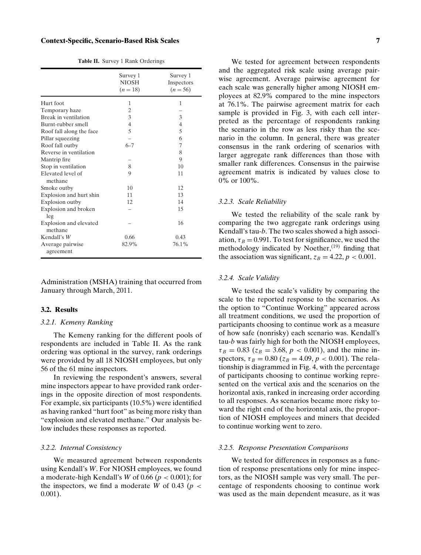**Table II.** Survey 1 Rank Orderings

|                               | Survey 1<br><b>NIOSH</b><br>$(n = 18)$ | Survey 1<br>Inspectors<br>$(n = 56)$ |
|-------------------------------|----------------------------------------|--------------------------------------|
| Hurt foot                     | 1                                      | 1                                    |
| Temporary haze                | $\overline{2}$                         |                                      |
| Break in ventilation          | 3                                      | 3                                    |
| Burnt-rubber smell            | $\overline{4}$                         | 4                                    |
| Roof fall along the face      | 5                                      | 5                                    |
| Pillar squeezing              |                                        | 6                                    |
| Roof fall outby               | $6 - 7$                                | 7                                    |
| Reverse in ventilation        |                                        | 8                                    |
| Mantrip fire                  |                                        | 9                                    |
| Stop in ventilation           | 8                                      | 10                                   |
| Elevated level of             | 9                                      | 11                                   |
| methane                       |                                        |                                      |
| Smoke outby                   | 10                                     | 12                                   |
| Explosion and hurt shin       | 11                                     | 13                                   |
| Explosion outby               | 12                                     | 14                                   |
| Explosion and broken          |                                        | 15                                   |
| leg                           |                                        |                                      |
| Explosion and elevated        |                                        | 16                                   |
| methane                       |                                        |                                      |
| Kendall's $W$                 | 0.66                                   | 0.43                                 |
| Average pairwise<br>agreement | 82.9%                                  | 76.1%                                |

Administration (MSHA) training that occurred from January through March, 2011.

# **3.2. Results**

## *3.2.1. Kemeny Ranking*

The Kemeny ranking for the different pools of respondents are included in Table II. As the rank ordering was optional in the survey, rank orderings were provided by all 18 NIOSH employees, but only 56 of the 61 mine inspectors.

In reviewing the respondent's answers, several mine inspectors appear to have provided rank orderings in the opposite direction of most respondents. For example, six participants (10.5%) were identified as having ranked "hurt foot" as being more risky than "explosion and elevated methane." Our analysis below includes these responses as reported.

#### *3.2.2. Internal Consistency*

We measured agreement between respondents using Kendall's *W*. For NIOSH employees, we found a moderate-high Kendall's *W* of 0.66 ( $p < 0.001$ ); for the inspectors, we find a moderate *W* of 0.43 ( $p <$ 0.001).

We tested for agreement between respondents and the aggregated risk scale using average pairwise agreement. Average pairwise agreement for each scale was generally higher among NIOSH employees at 82.9% compared to the mine inspectors at 76.1%. The pairwise agreement matrix for each sample is provided in Fig. 3, with each cell interpreted as the percentage of respondents ranking the scenario in the row as less risky than the scenario in the column. In general, there was greater consensus in the rank ordering of scenarios with larger aggregate rank differences than those with smaller rank differences. Consensus in the pairwise agreement matrix is indicated by values close to 0% or 100%.

## *3.2.3. Scale Reliability*

We tested the reliability of the scale rank by comparing the two aggregate rank orderings using Kendall's tau-*b*. The two scales showed a high association,  $\tau_B = 0.991$ . To test for significance, we used the methodology indicated by Noether, $(19)$  finding that the association was significant,  $z_B = 4.22$ ,  $p < 0.001$ .

# *3.2.4. Scale Validity*

We tested the scale's validity by comparing the scale to the reported response to the scenarios. As the option to "Continue Working" appeared across all treatment conditions, we used the proportion of participants choosing to continue work as a measure of how safe (nonrisky) each scenario was. Kendall's tau-*b* was fairly high for both the NIOSH employees,  $\tau_B = 0.83$  ( $z_B = 3.68$ ,  $p < 0.001$ ), and the mine inspectors,  $\tau_B = 0.80$  ( $z_B = 4.09$ ,  $p < 0.001$ ). The relationship is diagrammed in Fig. 4, with the percentage of participants choosing to continue working represented on the vertical axis and the scenarios on the horizontal axis, ranked in increasing order according to all responses. As scenarios became more risky toward the right end of the horizontal axis, the proportion of NIOSH employees and miners that decided to continue working went to zero.

#### *3.2.5. Response Presentation Comparisons*

We tested for differences in responses as a function of response presentations only for mine inspectors, as the NIOSH sample was very small. The percentage of respondents choosing to continue work was used as the main dependent measure, as it was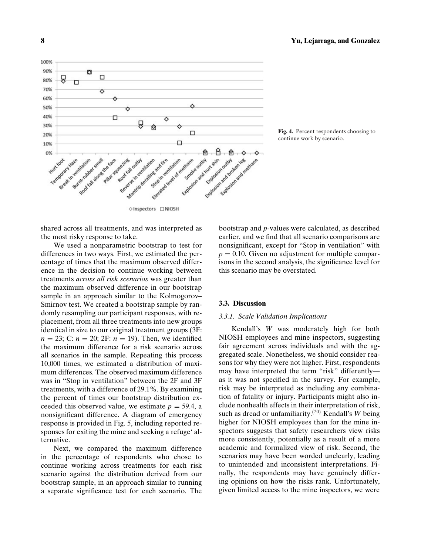

**Fig. 4.** Percent respondents choosing to continue work by scenario.

shared across all treatments, and was interpreted as the most risky response to take.

We used a nonparametric bootstrap to test for differences in two ways. First, we estimated the percentage of times that the maximum observed difference in the decision to continue working between treatments *across all risk scenarios* was greater than the maximum observed difference in our bootstrap sample in an approach similar to the Kolmogorov– Smirnov test. We created a bootstrap sample by randomly resampling our participant responses, with replacement, from all three treatments into new groups identical in size to our original treatment groups (3F:  $n = 23$ ; C:  $n = 20$ ; 2F:  $n = 19$ ). Then, we identified the maximum difference for a risk scenario across all scenarios in the sample. Repeating this process 10,000 times, we estimated a distribution of maximum differences. The observed maximum difference was in "Stop in ventilation" between the 2F and 3F treatments, with a difference of 29.1%. By examining the percent of times our bootstrap distribution exceeded this observed value, we estimate  $p = 59.4$ , a nonsignificant difference. A diagram of emergency response is provided in Fig. 5, including reported responses for exiting the mine and seeking a refuge' alternative.

Next, we compared the maximum difference in the percentage of respondents who chose to continue working across treatments for each risk scenario against the distribution derived from our bootstrap sample, in an approach similar to running a separate significance test for each scenario. The

bootstrap and *p*-values were calculated, as described earlier, and we find that all scenario comparisons are nonsignificant, except for "Stop in ventilation" with  $p = 0.10$ . Given no adjustment for multiple comparisons in the second analysis, the significance level for this scenario may be overstated.

## **3.3. Discussion**

## *3.3.1. Scale Validation Implications*

Kendall's *W* was moderately high for both NIOSH employees and mine inspectors, suggesting fair agreement across individuals and with the aggregated scale. Nonetheless, we should consider reasons for why they were not higher. First, respondents may have interpreted the term "risk" differently as it was not specified in the survey. For example, risk may be interpreted as including any combination of fatality or injury. Participants might also include nonhealth effects in their interpretation of risk, such as dread or unfamiliarity.(20) Kendall's *W* being higher for NIOSH employees than for the mine inspectors suggests that safety researchers view risks more consistently, potentially as a result of a more academic and formalized view of risk. Second, the scenarios may have been worded unclearly, leading to unintended and inconsistent interpretations. Finally, the respondents may have genuinely differing opinions on how the risks rank. Unfortunately, given limited access to the mine inspectors, we were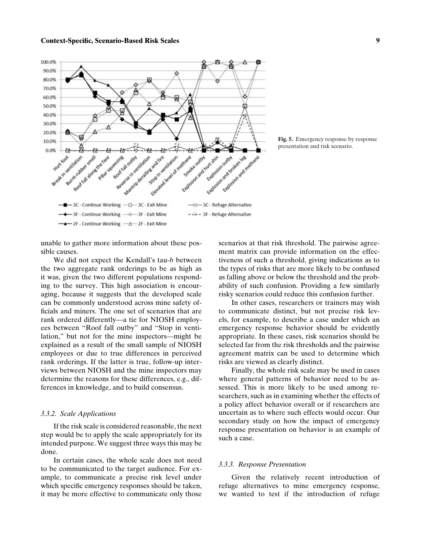

**Fig. 5.** Emergency response by response presentation and risk scenario.

unable to gather more information about these possible causes.

We did not expect the Kendall's tau-*b* between the two aggregate rank orderings to be as high as it was, given the two different populations responding to the survey. This high association is encouraging, because it suggests that the developed scale can be commonly understood across mine safety officials and miners. The one set of scenarios that are rank ordered differently—a tie for NIOSH employees between "Roof fall outby" and "Stop in ventilation," but not for the mine inspectors—might be explained as a result of the small sample of NIOSH employees or due to true differences in perceived rank orderings. If the latter is true, follow-up interviews between NIOSH and the mine inspectors may determine the reasons for these differences, e.g., differences in knowledge, and to build consensus.

#### *3.3.2. Scale Applications*

If the risk scale is considered reasonable, the next step would be to apply the scale appropriately for its intended purpose. We suggest three ways this may be done.

In certain cases, the whole scale does not need to be communicated to the target audience. For example, to communicate a precise risk level under which specific emergency responses should be taken, it may be more effective to communicate only those

scenarios at that risk threshold. The pairwise agreement matrix can provide information on the effectiveness of such a threshold, giving indications as to the types of risks that are more likely to be confused as falling above or below the threshold and the probability of such confusion. Providing a few similarly risky scenarios could reduce this confusion further.

In other cases, researchers or trainers may wish to communicate distinct, but not precise risk levels, for example, to describe a case under which an emergency response behavior should be evidently appropriate. In these cases, risk scenarios should be selected far from the risk thresholds and the pairwise agreement matrix can be used to determine which risks are viewed as clearly distinct.

Finally, the whole risk scale may be used in cases where general patterns of behavior need to be assessed. This is more likely to be used among researchers, such as in examining whether the effects of a policy affect behavior overall or if researchers are uncertain as to where such effects would occur. Our secondary study on how the impact of emergency response presentation on behavior is an example of such a case.

#### *3.3.3. Response Presentation*

Given the relatively recent introduction of refuge alternatives to mine emergency response, we wanted to test if the introduction of refuge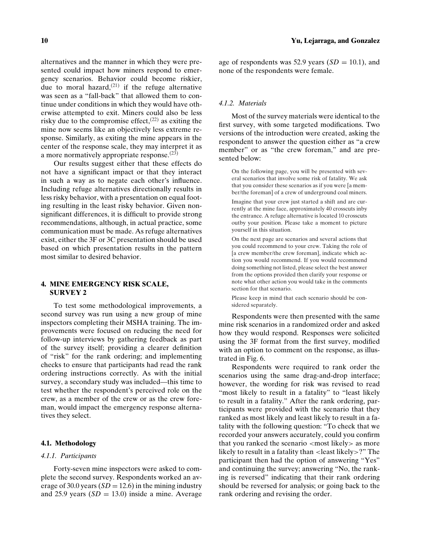alternatives and the manner in which they were presented could impact how miners respond to emergency scenarios. Behavior could become riskier, due to moral hazard, $(21)$  if the refuge alternative was seen as a "fall-back" that allowed them to continue under conditions in which they would have otherwise attempted to exit. Miners could also be less risky due to the compromise effect, $(22)$  as exiting the mine now seems like an objectively less extreme response. Similarly, as exiting the mine appears in the center of the response scale, they may interpret it as a more normatively appropriate response.(23)

Our results suggest either that these effects do not have a significant impact or that they interact in such a way as to negate each other's influence. Including refuge alternatives directionally results in less risky behavior, with a presentation on equal footing resulting in the least risky behavior. Given nonsignificant differences, it is difficult to provide strong recommendations, although, in actual practice, some communication must be made. As refuge alternatives exist, either the 3F or 3C presentation should be used based on which presentation results in the pattern most similar to desired behavior.

# **4. MINE EMERGENCY RISK SCALE, SURVEY 2**

To test some methodological improvements, a second survey was run using a new group of mine inspectors completing their MSHA training. The improvements were focused on reducing the need for follow-up interviews by gathering feedback as part of the survey itself; providing a clearer definition of "risk" for the rank ordering; and implementing checks to ensure that participants had read the rank ordering instructions correctly. As with the initial survey, a secondary study was included—this time to test whether the respondent's perceived role on the crew, as a member of the crew or as the crew foreman, would impact the emergency response alternatives they select.

#### **4.1. Methodology**

## *4.1.1. Participants*

Forty-seven mine inspectors were asked to complete the second survey. Respondents worked an average of 30.0 years  $(SD = 12.6)$  in the mining industry and 25.9 years  $(SD = 13.0)$  inside a mine. Average age of respondents was 52.9 years  $(SD = 10.1)$ , and none of the respondents were female.

#### *4.1.2. Materials*

Most of the survey materials were identical to the first survey, with some targeted modifications. Two versions of the introduction were created, asking the respondent to answer the question either as "a crew member" or as "the crew foreman," and are presented below:

On the following page, you will be presented with several scenarios that involve some risk of fatality. We ask that you consider these scenarios as if you were [a member/the foreman] of a crew of underground coal miners.

Imagine that your crew just started a shift and are currently at the mine face, approximately 40 crosscuts inby the entrance. A refuge alternative is located 10 crosscuts outby your position. Please take a moment to picture yourself in this situation.

On the next page are scenarios and several actions that you could recommend to your crew. Taking the role of [a crew member/the crew foreman], indicate which action you would recommend. If you would recommend doing something not listed, please select the best answer from the options provided then clarify your response or note what other action you would take in the comments section for that scenario.

Please keep in mind that each scenario should be considered separately.

Respondents were then presented with the same mine risk scenarios in a randomized order and asked how they would respond. Responses were solicited using the 3F format from the first survey, modified with an option to comment on the response, as illustrated in Fig. 6.

Respondents were required to rank order the scenarios using the same drag-and-drop interface; however, the wording for risk was revised to read "most likely to result in a fatality" to "least likely to result in a fatality." After the rank ordering, participants were provided with the scenario that they ranked as most likely and least likely to result in a fatality with the following question: "To check that we recorded your answers accurately, could you confirm that you ranked the scenario  $\langle \text{most likely} \rangle$  as more likely to result in a fatality than <least likely>?" The participant then had the option of answering "Yes" and continuing the survey; answering "No, the ranking is reversed" indicating that their rank ordering should be reversed for analysis; or going back to the rank ordering and revising the order.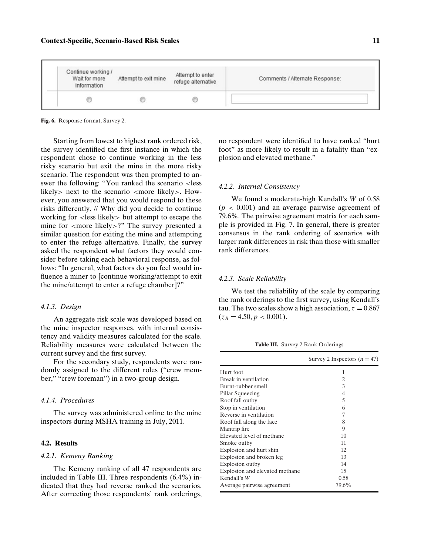| Continue working /<br>Wait for more<br>information | Attempt to exit mine | Attempt to enter<br>refuge alternative | Comments / Alternate Response: |
|----------------------------------------------------|----------------------|----------------------------------------|--------------------------------|
|                                                    |                      |                                        |                                |

**Fig. 6.** Response format, Survey 2.

Starting from lowest to highest rank ordered risk, the survey identified the first instance in which the respondent chose to continue working in the less risky scenario but exit the mine in the more risky scenario. The respondent was then prompted to answer the following: "You ranked the scenario <less likely > next to the scenario <more likely >. However, you answered that you would respond to these risks differently. // Why did you decide to continue working for <less likely> but attempt to escape the mine for <more likely>?" The survey presented a similar question for exiting the mine and attempting to enter the refuge alternative. Finally, the survey asked the respondent what factors they would consider before taking each behavioral response, as follows: "In general, what factors do you feel would influence a miner to [continue working/attempt to exit the mine/attempt to enter a refuge chamber]?"

## *4.1.3. Design*

An aggregate risk scale was developed based on the mine inspector responses, with internal consistency and validity measures calculated for the scale. Reliability measures were calculated between the current survey and the first survey.

For the secondary study, respondents were randomly assigned to the different roles ("crew member," "crew foreman") in a two-group design.

# *4.1.4. Procedures*

The survey was administered online to the mine inspectors during MSHA training in July, 2011.

## **4.2. Results**

## *4.2.1. Kemeny Ranking*

The Kemeny ranking of all 47 respondents are included in Table III. Three respondents (6.4%) indicated that they had reverse ranked the scenarios. After correcting those respondents' rank orderings, no respondent were identified to have ranked "hurt foot" as more likely to result in a fatality than "explosion and elevated methane."

## *4.2.2. Internal Consistency*

We found a moderate-high Kendall's *W* of 0.58  $(p < 0.001)$  and an average pairwise agreement of 79.6%. The pairwise agreement matrix for each sample is provided in Fig. 7. In general, there is greater consensus in the rank ordering of scenarios with larger rank differences in risk than those with smaller rank differences.

## *4.2.3. Scale Reliability*

We test the reliability of the scale by comparing the rank orderings to the first survey, using Kendall's tau. The two scales show a high association,  $\tau = 0.867$  $(z_B = 4.50, p < 0.001).$ 

**Table III.** Survey 2 Rank Orderings

|                                | Survey 2 Inspectors $(n = 47)$ |
|--------------------------------|--------------------------------|
| Hurt foot                      | 1                              |
| Break in ventilation           | 2                              |
| Burnt-rubber smell             | 3                              |
| Pillar Squeezing               | 4                              |
| Roof fall outby                | 5                              |
| Stop in ventilation            | 6                              |
| Reverse in ventilation         | 7                              |
| Roof fall along the face       | 8                              |
| Mantrip fire                   | 9                              |
| Elevated level of methane      | 10                             |
| Smoke outby                    | 11                             |
| Explosion and hurt shin        | 12                             |
| Explosion and broken leg       | 13                             |
| Explosion outby                | 14                             |
| Explosion and elevated methane | 15                             |
| Kendall's $W$                  | 0.58                           |
| Average pairwise agreement     | 79.6%                          |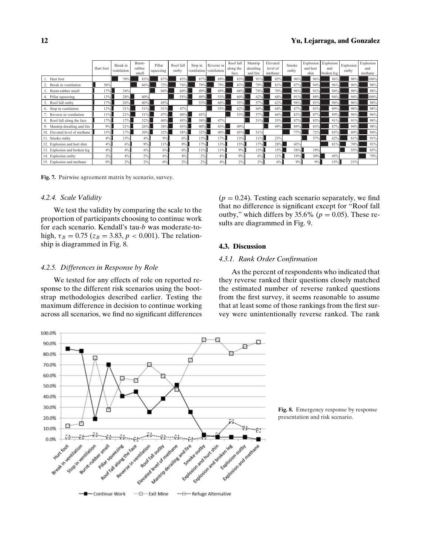|                               | Hurt foot | Break in<br>ventilation | Burnt-<br>rubber<br>smell | Pillar<br>squeezing | Roof fall<br>outby | Stop in | Reverse in<br>ventilation ventilation | Roof fall<br>along the<br>face | Mantrip<br>derailing<br>and fire | Elevated<br>level of<br>methane | Smoke<br>outby | Explosion<br>and hurt<br>shin | Explosion<br>and<br>broken leg | Explosion<br>outby | Explosion<br>and<br>methane |
|-------------------------------|-----------|-------------------------|---------------------------|---------------------|--------------------|---------|---------------------------------------|--------------------------------|----------------------------------|---------------------------------|----------------|-------------------------------|--------------------------------|--------------------|-----------------------------|
| . Hurt foot                   |           | 70%                     | 83%                       | 87%                 | 83%                | 87%     | 89%                                   | 83%                            | 91%                              | 85%                             | 96%            | 96%                           | 96%                            | 98%                | 100%                        |
| 2. Break in ventilation       | 30%       |                         | 66%                       | 72%                 | 74%                | 79%     | 79%                                   | 83%                            | 79%                              | 83%                             | 87%            | 94%                           | 96%                            | 96%                | 98%                         |
| Burnt-rubber smell            | 17%       | 34%                     |                           | 60%                 | 60%                | 49%     | 49%                                   | 68%                            | 74%                              | 70%                             | 96%            | 91%                           | 94%                            | 98%                | 98%                         |
| 4. Pillar squeezing           | 13%       | 28%                     | 40%                       |                     | 55%                | 49%     | 53%                                   | 60%                            | 62%                              | 68%                             | 91%            | 89%                           | 94%                            | 94%                | 100%                        |
| Roof fall outby<br>5.         | 17%       | 26%                     | 40%                       | 45%                 |                    | 53%     | 60%                                   | 55%                            | 57%                              | 62%                             | 94%            | 91%                           | 94%                            | 96%                | 98%                         |
| 6. Stop in ventilation        | 13%       | 21%                     | 51%                       | 51%                 | 47%                |         | 55%                                   | 62%                            | 60%                              | 68%                             | 87%            | 83%                           | 89%                            | 98%                | 98%                         |
| Reverse in ventilation        | 11%       | 21%                     | 51%                       | 47%                 | 40%                | 45%     |                                       | 53%                            | 57%                              | 60%                             | 83%            | 87%                           | 89%                            | 96%                | 96%                         |
| 8. Roof fall along the face   | 17%       | 17°                     | 32%                       | 40%                 | 45%                | 38%     | 47%                                   |                                | 51%                              | 55%                             | 87%            | 85%                           | 91%                            | 91%                | 98%                         |
| 9. Mantrip derailing and fire | 9%        | 21%                     | 26%                       | 38%                 | 43%                | 40%     | 43%                                   | 49%                            |                                  | 49%                             | 89%            | 83%                           | 87%                            | 94%                | 98%                         |
| 10. Elevated level of methane | 15%       | 17%                     | 30%                       | 32%                 | 38%                | 32%     | 40%                                   | 45%                            | 51%                              |                                 | 77%            | 72%                           | 85%                            | 89%                | 94%                         |
| 11. Smoke outby               | 4%        | 13%                     | 4%                        | 9%                  | $6\%$              | 13%     | 17%                                   | 13%                            | 11%                              | 23%                             |                | 57%                           | 62%                            | 81%                | 91%                         |
| 12. Explosion and hurt shin   | 4%        | 6%                      | 9%                        | $11\%$              | 9%                 | 17%     | 13%                                   | 15%                            | 17%                              | 28%                             | 43%            |                               | 81%                            | 70%                | 91%                         |
| 13. Explosion and broken leg  | 4%        | 4%                      | 6%                        | 6%                  | 6%                 | 11%     | 11%                                   | 9%                             | 13%                              | 15%                             | 38%            | 19%                           |                                | 55%                | 85%                         |
| 14. Explosion outby           | 2%        | 4%                      | 2%                        | 6%                  | 4%                 | 2%      | 4%                                    | 9%                             | 6%                               | 11%                             | 19%            | 30%                           | 45%                            |                    | 79%                         |
| 15. Explosion and methane     | 0%        | 2%                      | 2%                        | 0%                  | 2%                 | 2%      | 4%                                    | 2%                             | 2%                               | 6%                              | 9%             | 9%                            | 15%                            | 21%                |                             |

**Fig. 7.** Pairwise agreement matrix by scenario, survey.

#### *4.2.4. Scale Validity*

We test the validity by comparing the scale to the proportion of participants choosing to continue work for each scenario. Kendall's tau-*b* was moderate-tohigh,  $\tau_B = 0.75$  ( $z_B = 3.83$ ,  $p < 0.001$ ). The relationship is diagrammed in Fig. 8.

## *4.2.5. Differences in Response by Role*

We tested for any effects of role on reported response to the different risk scenarios using the bootstrap methodologies described earlier. Testing the maximum difference in decision to continue working across all scenarios, we find no significant differences  $(p = 0.24)$ . Testing each scenario separately, we find that no difference is significant except for "Roof fall outby," which differs by  $35.6\%$  ( $p = 0.05$ ). These results are diagrammed in Fig. 9.

# **4.3. Discussion**

# *4.3.1. Rank Order Confirmation*

As the percent of respondents who indicated that they reverse ranked their questions closely matched the estimated number of reverse ranked questions from the first survey, it seems reasonable to assume that at least some of those rankings from the first survey were unintentionally reverse ranked. The rank



**Fig. 8.** Emergency response by response presentation and risk scenario.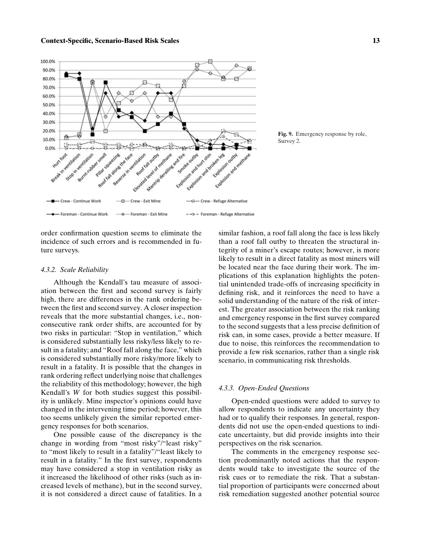

**Fig. 9.** Emergency response by role, Survey 2.

order confirmation question seems to eliminate the incidence of such errors and is recommended in future surveys.

#### *4.3.2. Scale Reliability*

Although the Kendall's tau measure of association between the first and second survey is fairly high, there are differences in the rank ordering between the first and second survey. A closer inspection reveals that the more substantial changes, i.e., nonconsecutive rank order shifts, are accounted for by two risks in particular: "Stop in ventilation," which is considered substantially less risky/less likely to result in a fatality; and "Roof fall along the face," which is considered substantially more risky/more likely to result in a fatality. It is possible that the changes in rank ordering reflect underlying noise that challenges the reliability of this methodology; however, the high Kendall's *W* for both studies suggest this possibility is unlikely. Mine inspector's opinions could have changed in the intervening time period; however, this too seems unlikely given the similar reported emergency responses for both scenarios.

One possible cause of the discrepancy is the change in wording from "most risky"/"least risky" to "most likely to result in a fatality"/"least likely to result in a fatality." In the first survey, respondents may have considered a stop in ventilation risky as it increased the likelihood of other risks (such as increased levels of methane), but in the second survey, it is not considered a direct cause of fatalities. In a similar fashion, a roof fall along the face is less likely than a roof fall outby to threaten the structural integrity of a miner's escape routes; however, is more likely to result in a direct fatality as most miners will be located near the face during their work. The implications of this explanation highlights the potential unintended trade-offs of increasing specificity in defining risk, and it reinforces the need to have a solid understanding of the nature of the risk of interest. The greater association between the risk ranking and emergency response in the first survey compared to the second suggests that a less precise definition of risk can, in some cases, provide a better measure. If due to noise, this reinforces the recommendation to provide a few risk scenarios, rather than a single risk scenario, in communicating risk thresholds.

## *4.3.3. Open-Ended Questions*

Open-ended questions were added to survey to allow respondents to indicate any uncertainty they had or to qualify their responses. In general, respondents did not use the open-ended questions to indicate uncertainty, but did provide insights into their perspectives on the risk scenarios.

The comments in the emergency response section predominantly noted actions that the respondents would take to investigate the source of the risk cues or to remediate the risk. That a substantial proportion of participants were concerned about risk remediation suggested another potential source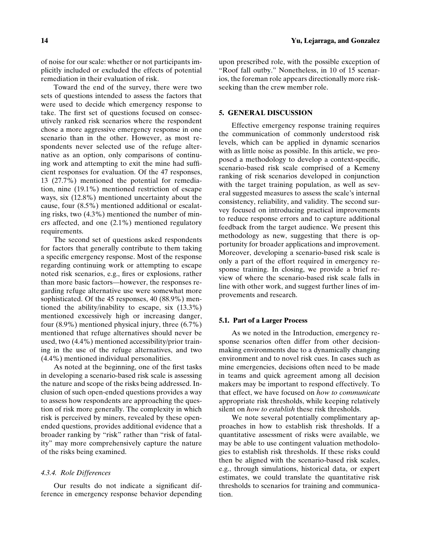of noise for our scale: whether or not participants implicitly included or excluded the effects of potential remediation in their evaluation of risk.

Toward the end of the survey, there were two sets of questions intended to assess the factors that were used to decide which emergency response to take. The first set of questions focused on consecutively ranked risk scenarios where the respondent chose a more aggressive emergency response in one scenario than in the other. However, as most respondents never selected use of the refuge alternative as an option, only comparisons of continuing work and attempting to exit the mine had sufficient responses for evaluation. Of the 47 responses, 13 (27.7%) mentioned the potential for remediation, nine (19.1%) mentioned restriction of escape ways, six (12.8%) mentioned uncertainty about the cause, four (8.5%) mentioned additional or escalating risks, two (4.3%) mentioned the number of miners affected, and one (2.1%) mentioned regulatory requirements.

The second set of questions asked respondents for factors that generally contribute to them taking a specific emergency response. Most of the response regarding continuing work or attempting to escape noted risk scenarios, e.g., fires or explosions, rather than more basic factors—however, the responses regarding refuge alternative use were somewhat more sophisticated. Of the 45 responses, 40 (88.9%) mentioned the ability/inability to escape, six (13.3%) mentioned excessively high or increasing danger, four (8.9%) mentioned physical injury, three (6.7%) mentioned that refuge alternatives should never be used, two (4.4%) mentioned accessibility/prior training in the use of the refuge alternatives, and two (4.4%) mentioned individual personalities.

As noted at the beginning, one of the first tasks in developing a scenario-based risk scale is assessing the nature and scope of the risks being addressed. Inclusion of such open-ended questions provides a way to assess how respondents are approaching the question of risk more generally. The complexity in which risk is perceived by miners, revealed by these openended questions, provides additional evidence that a broader ranking by "risk" rather than "risk of fatality" may more comprehensively capture the nature of the risks being examined.

## *4.3.4. Role Differences*

Our results do not indicate a significant difference in emergency response behavior depending upon prescribed role, with the possible exception of "Roof fall outby." Nonetheless, in 10 of 15 scenarios, the foreman role appears directionally more riskseeking than the crew member role.

## **5. GENERAL DISCUSSION**

Effective emergency response training requires the communication of commonly understood risk levels, which can be applied in dynamic scenarios with as little noise as possible. In this article, we proposed a methodology to develop a context-specific, scenario-based risk scale comprised of a Kemeny ranking of risk scenarios developed in conjunction with the target training population, as well as several suggested measures to assess the scale's internal consistency, reliability, and validity. The second survey focused on introducing practical improvements to reduce response errors and to capture additional feedback from the target audience. We present this methodology as new, suggesting that there is opportunity for broader applications and improvement. Moreover, developing a scenario-based risk scale is only a part of the effort required in emergency response training. In closing, we provide a brief review of where the scenario-based risk scale falls in line with other work, and suggest further lines of improvements and research.

## **5.1. Part of a Larger Process**

As we noted in the Introduction, emergency response scenarios often differ from other decisionmaking environments due to a dynamically changing environment and to novel risk cues. In cases such as mine emergencies, decisions often need to be made in teams and quick agreement among all decision makers may be important to respond effectively. To that effect, we have focused on *how to communicate* appropriate risk thresholds, while keeping relatively silent on *how to establish* these risk thresholds.

We note several potentially complimentary approaches in how to establish risk thresholds. If a quantitative assessment of risks were available, we may be able to use contingent valuation methodologies to establish risk thresholds. If these risks could then be aligned with the scenario-based risk scales, e.g., through simulations, historical data, or expert estimates, we could translate the quantitative risk thresholds to scenarios for training and communication.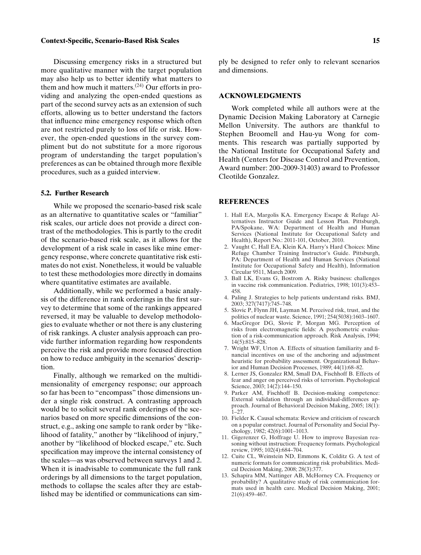#### **Context-Specific, Scenario-Based Risk Scales 15 15**

Discussing emergency risks in a structured but more qualitative manner with the target population may also help us to better identify what matters to them and how much it matters. $(24)$  Our efforts in providing and analyzing the open-ended questions as part of the second survey acts as an extension of such efforts, allowing us to better understand the factors that influence mine emergency response which often are not restricted purely to loss of life or risk. However, the open-ended questions in the survey compliment but do not substitute for a more rigorous program of understanding the target population's preferences as can be obtained through more flexible procedures, such as a guided interview.

## **5.2. Further Research**

While we proposed the scenario-based risk scale as an alternative to quantitative scales or "familiar" risk scales, our article does not provide a direct contrast of the methodologies. This is partly to the credit of the scenario-based risk scale, as it allows for the development of a risk scale in cases like mine emergency response, where concrete quantitative risk estimates do not exist. Nonetheless, it would be valuable to test these methodologies more directly in domains where quantitative estimates are available.

Additionally, while we performed a basic analysis of the difference in rank orderings in the first survey to determine that some of the rankings appeared reversed, it may be valuable to develop methodologies to evaluate whether or not there is any clustering of risk rankings. A cluster analysis approach can provide further information regarding how respondents perceive the risk and provide more focused direction on how to reduce ambiguity in the scenarios' description.

Finally, although we remarked on the multidimensionality of emergency response; our approach so far has been to "encompass" those dimensions under a single risk construct. A contrasting approach would be to solicit several rank orderings of the scenarios based on more specific dimensions of the construct, e.g., asking one sample to rank order by "likelihood of fatality," another by "likelihood of injury," another by "likelihood of blocked escape," etc. Such specification may improve the internal consistency of the scales—as was observed between surveys 1 and 2. When it is inadvisable to communicate the full rank orderings by all dimensions to the target population, methods to collapse the scales after they are established may be identified or communications can simply be designed to refer only to relevant scenarios and dimensions.

## **ACKNOWLEDGMENTS**

Work completed while all authors were at the Dynamic Decision Making Laboratory at Carnegie Mellon University. The authors are thankful to Stephen Broomell and Hau-yu Wong for comments. This research was partially supported by the National Institute for Occupational Safety and Health (Centers for Disease Control and Prevention, Award number: 200–2009-31403) award to Professor Cleotilde Gonzalez.

#### **REFERENCES**

- 1. Hall EA, Margolis KA. Emergency Escape & Refuge Alternatives Instructor Guide and Lesson Plan. Pittsburgh, PA/Spokane, WA: Department of Health and Human Services (National Institute for Occupational Safety and Health), Report No.: 2011-101, October, 2010.
- 2. Vaught C, Hall EA, Klein KA. Harry's Hard Choices: Mine Refuge Chamber Training Instructor's Guide. Pittsburgh, PA: Department of Health and Human Services (National Institute for Occupational Safety and Health), Information Circular 9511, March 2009.
- 3. Ball LK, Evans G, Bostrom A. Risky business: challenges in vaccine risk communication. Pediatrics, 1998; 101(3):453– 458.
- 4. Paling J. Strategies to help patients understand risks. BMJ, 2003; 327(7417):745–748.
- 5. Slovic P, Flynn JH, Layman M. Perceived risk, trust, and the politics of nuclear waste. Science, 1991; 254(5038):1603–1607.
- 6. MacGregor DG, Slovic P, Morgan MG. Perception of risks from electromagnetic fields: A psychometric evaluation of a risk-communication approach. Risk Analysis, 1994; 14(5):815–828.
- 7. Wright WF, Urton A. Effects of situation familiarity and financial incentives on use of the anchoring and adjustment heuristic for probability assessment. Organizational Behavior and Human Decision Processes, 1989; 44(1):68–82.
- 8. Lerner JS, Gonzalez RM, Small DA, Fischhoff B. Effects of fear and anger on perceived risks of terrorism. Psychological Science, 2003; 14(2):144-150.
- 9. Parker AM, Fischhoff B. Decision-making competence: External validation through an individual-differences approach. Journal of Behavioral Decision Making, 2005; 18(1): 1–27.
- 10. Fielder K. Causal schemata: Review and criticism of research on a popular construct. Journal of Personality and Social Psychology, 1982; 42(6):1001–1013.
- 11. Gigerenzer G, Hoffrage U. How to improve Bayesian reasoning without instruction: Frequency formats. Psychological review, 1995; 102(4):684–704.
- 12. Cuite CL, Weinstein ND, Emmons K, Colditz G. A test of numeric formats for communicating risk probabilities. Medical Decision Making, 2008; 28(3):377.
- 13. Schapira MM, Nattinger AB, McHorney CA. Frequency or probability? A qualitative study of risk communication formats used in health care. Medical Decision Making, 2001; 21(6):459–467.